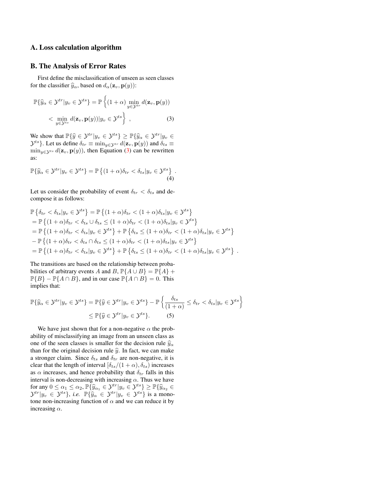## A. Loss calculation algorithm

## B. The Analysis of Error Rates

First define the misclassification of unseen as seen classes for the classifier  $\hat{y}_\alpha$ , based on  $d_\alpha(\mathbf{z}_v, \mathbf{p}(y))$ :

<span id="page-0-0"></span>
$$
\mathbb{P}\{\widehat{y}_{\alpha} \in \mathcal{Y}^{tr} | y_{v} \in \mathcal{Y}^{ts}\} = \mathbb{P}\left\{ (1+\alpha) \min_{y \in \mathcal{Y}^{tr}} d(\mathbf{z}_{v}, \mathbf{p}(y)) \right\} < \min_{y \in \mathcal{Y}^{ts}} d(\mathbf{z}_{v}, \mathbf{p}(y)) | y_{v} \in \mathcal{Y}^{ts} \right\},
$$
(3)

We show that  $\mathbb{P}\{\widehat{y} \in \mathcal{Y}^{tr}|y_v \in \mathcal{Y}^{ts}\} \geq \mathbb{P}\{\widehat{y}_\alpha \in \mathcal{Y}^{tr}|y_v \in \mathcal{Y}^{tr}$  $\mathcal{Y}^{ts}$ . Let us define  $\delta_{tr} \equiv \min_{y \in \mathcal{Y}^{tr}} d(\mathbf{z}_v, \mathbf{p}(y))$  and  $\delta_{ts} \equiv$  $\min_{y \in \mathcal{Y}^{ts}} d(\mathbf{z}_v, \mathbf{p}(y))$ , then Equation [\(3\)](#page-0-0) can be rewritten as:

$$
\mathbb{P}\{\widehat{y}_{\alpha}\in\mathcal{Y}^{tr}|y_{v}\in\mathcal{Y}^{ts}\}=\mathbb{P}\left\{(1+\alpha)\delta_{tr}<\delta_{ts}|y_{v}\in\mathcal{Y}^{ts}\right\}.
$$
\n(4)

Let us consider the probability of event  $\delta_{tr} < \delta_{ts}$  and decompose it as follows:

$$
\mathbb{P}\left\{\delta_{tr} < \delta_{ts}|y_v \in \mathcal{Y}^{ts}\right\} = \mathbb{P}\left\{(1+\alpha)\delta_{tr} < (1+\alpha)\delta_{ts}|y_v \in \mathcal{Y}^{ts}\right\} \n= \mathbb{P}\left\{(1+\alpha)\delta_{tr} < \delta_{ts} \cup \delta_{ts} \leq (1+\alpha)\delta_{tr} < (1+\alpha)\delta_{ts}|y_v \in \mathcal{Y}^{ts}\right\} \n= \mathbb{P}\left\{(1+\alpha)\delta_{tr} < \delta_{ts}|y_v \in \mathcal{Y}^{ts}\right\} + \mathbb{P}\left\{\delta_{ts} \leq (1+\alpha)\delta_{tr} < (1+\alpha)\delta_{ts}|y_v \in \mathcal{Y}^{ts}\right\} \n- \mathbb{P}\left\{(1+\alpha)\delta_{tr} < \delta_{ts} \cap \delta_{ts} \leq (1+\alpha)\delta_{tr} < (1+\alpha)\delta_{ts}|y_v \in \mathcal{Y}^{ts}\right\} \n= \mathbb{P}\left\{(1+\alpha)\delta_{tr} < \delta_{ts}|y_v \in \mathcal{Y}^{ts}\right\} + \mathbb{P}\left\{\delta_{ts} \leq (1+\alpha)\delta_{tr} < (1+\alpha)\delta_{ts}|y_v \in \mathcal{Y}^{ts}\right\} .
$$

The transitions are based on the relationship between probabilities of arbitrary events A and B,  $\mathbb{P}{A \cup B} = \mathbb{P}{A} +$  $\mathbb{P}{B} - \mathbb{P}{A \cap B}$ , and in our case  $\mathbb{P}{A \cap B} = 0$ . This implies that:

$$
\mathbb{P}\{\hat{y}_{\alpha} \in \mathcal{Y}^{tr} | y_{v} \in \mathcal{Y}^{ts}\} = \mathbb{P}\{\hat{y} \in \mathcal{Y}^{tr} | y_{v} \in \mathcal{Y}^{ts}\} - \mathbb{P}\left\{\frac{\delta_{ts}}{(1+\alpha)} \leq \delta_{tr} < \delta_{ts} | y_{v} \in \mathcal{Y}^{ts}\right\} \\
\leq \mathbb{P}\{\hat{y} \in \mathcal{Y}^{tr} | y_{v} \in \mathcal{Y}^{ts}\}.\n \tag{5}
$$

We have just shown that for a non-negative  $\alpha$  the probability of misclassifying an image from an unseen class as one of the seen classes is smaller for the decision rule  $\hat{y}_{\alpha}$ than for the original decision rule  $\hat{y}$ . In fact, we can make a stronger claim. Since  $\delta_{ts}$  and  $\delta_{tr}$  are non-negative, it is clear that the length of interval  $[\delta_{ts}/(1+\alpha), \delta_{ts}]$  increases as  $\alpha$  increases, and hence probability that  $\delta_{tr}$  falls in this interval is non-decreasing with increasing  $\alpha$ . Thus we have for any  $0 \le \alpha_1 \le \alpha_2$ ,  $\mathbb{P}\{\widehat{y}_{\alpha_1} \in \mathcal{Y}^{tr} | y_v \in \mathcal{Y}^{ts}\} \ge \mathbb{P}\{\widehat{y}_{\alpha_2} \in \mathcal{Y}^{tr} | y_v \in \mathcal{Y}^{ts}\}$  is a mono-<br> $\mathcal{Y}^{tr} | y_v \in \mathcal{Y}^{ts}\}$  is a mono-<br>tone non increasing function of  $\alpha$  and we can reduce i tone non-increasing function of  $\alpha$  and we can reduce it by increasing  $\alpha$ .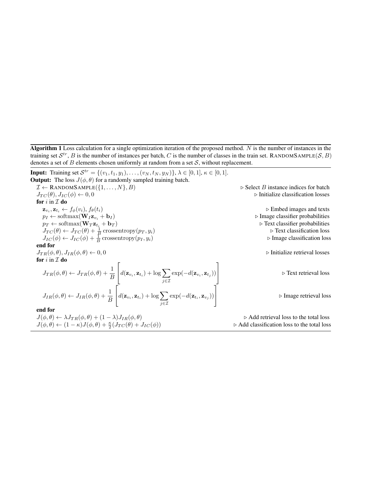Algorithm 1 Loss calculation for a single optimization iteration of the proposed method. N is the number of instances in the training set  $S^{tr}$ , B is the number of instances per batch, C is the number of classes in the train set. RANDOMSAMPLE(S, B) denotes a set of  $B$  elements chosen uniformly at random from a set  $S$ , without replacement.

**Input:** Training set  $\mathcal{S}^{tr} = \{(v_1, t_1, y_1), \dots, (v_N, t_N, y_N)\}, \lambda \in [0, 1], \kappa \in [0, 1].$ **Output:** The loss  $J(\phi, \theta)$  for a randomly sampled training batch.  $\mathcal{I} \leftarrow$  RANDOMSAMPLE $(\{1, \ldots, N\}, B)$   $\triangleright$  Select B instance indices for batch  $J_{TC}(\theta), J_{IC}(\phi) \leftarrow 0, 0$  . Initialize classification losses for  $i$  in  $I$  do  $\mathbf{z}_{v_i}, \mathbf{z}_{t_i} \leftarrow f_{\phi}(v_i), f_{\theta}(t_i)$  $\triangleright$  Embed images and texts  $\triangleright$  Image classifier probabilities  $p_I \leftarrow \text{softmax}(\mathbf{W}_I \mathbf{z}_{v_i} + \mathbf{b}_I)$ <br>  $p_T \leftarrow \text{softmax}(\mathbf{W}_T \mathbf{z}_{t_i} + \mathbf{b}_T)$ <br>  $\triangleright$  Text classifier probabilities  $p_T \leftarrow \text{softmax}(\mathbf{W}_T \mathbf{z}_{t_i} + \mathbf{b}_T)$   $\triangleright$  Text classifier probabilities  $J_{TC}(\theta) \leftarrow J_{TC}(\theta) + \frac{1}{\beta}$  crossentropy $(p_T, y_i)$   $\triangleright$  Text classification loss  $J_{IC}(\phi) \leftarrow J_{IC}(\phi) + \frac{1}{B}$  crossentropy $(p_I, y_i)$   $\triangleright$  Image classification loss end for  $J_{TR}(\phi, \theta), J_{IR}(\phi, \theta) \leftarrow 0, 0$   $\triangleright$  Initialize retrieval losses for  $i$  in  $I$  do  $J_{TR}(\phi, \theta) \leftarrow J_{TR}(\phi, \theta) + \frac{1}{B}$  $\lceil$  $d(\mathbf{z}_{v_i}, \mathbf{z}_{t_i}) + \log \sum$ j∈I  $\exp(-d(\mathbf{z}_{v_i}, \mathbf{z}_{t_j}))$ 1 . Text retrieval loss  $J_{IR}(\phi, \theta) \leftarrow J_{IR}(\phi, \theta) + \frac{1}{B}$  $\lceil$  $d(\mathbf{z}_{v_i}, \mathbf{z}_{t_i}) + \log \sum$ j∈I  $\exp(-d(\mathbf{z}_{t_i}, \mathbf{z}_{v_j}))$ 1 . Image retrieval loss end for  $J(\phi, \theta) \leftarrow \lambda J_{TR}(\phi, \theta) + (1 - \lambda)J_{IR}(\phi, \theta)$   $\triangleright$  Add retrieval loss to the total loss  $J(\phi,\theta) \leftarrow (1-\kappa)J(\phi,\theta) + \frac{\kappa}{2}$  $\triangleright$  Add classification loss to the total loss